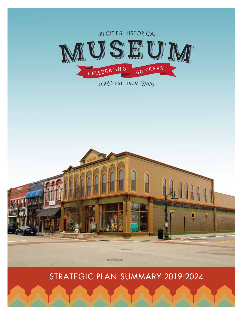

STRATEGIC PLAN SUMMARY 2019-2024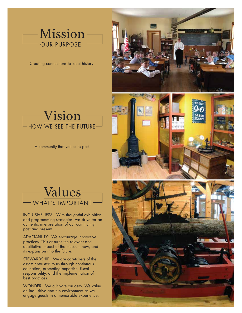

Creating connections to local history.



A community that values its past.



INCLUSIVENESS: With thoughtful exhibition and programming strategies, we strive for an authentic interpretation of our community, past and present. Ĩ,

ADAPTABILITY: We encourage innovative practices. This ensures the relevant and qualitative impact of the museum now, and its expansion into the future.

STEWARDSHIP: We are caretakers of the assets entrusted to us through continuous education, promoting expertise, fiscal responsibility, and the implementation of best practices.

WONDER: We cultivate curiosity. We value an inquisitive and fun environment as we engage guests in a memorable experience.

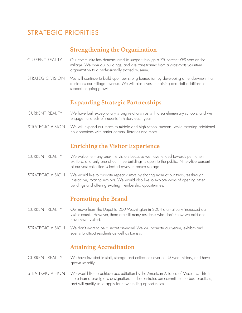# STRATEGIC PRIORITIES

## **Strengthening the Organization**

- CURRENT REALITY Our community has demonstrated its support through a 75 percent YES vote on the millage. We own our buildings, and are transitioning from a grassroots volunteer organization to a professionally staffed museum.
- STRATEGIC VISION We will continue to build upon our strong foundation by developing an endowment that reinforces our millage revenue. We will also invest in training and staff additions to support ongoing growth.

### **Expanding Strategic Partnerships**

- CURRENT REALITY We have built exceptionally strong relationships with area elementary schools, and we engage hundreds of students in history each year.
- STRATEGIC VISION We will expand our reach to middle and high school students, while fostering additional collaborations with senior centers, libraries and more.

### **Enriching the Visitor Experience**

- CURRENT REALITY We welcome many one-time visitors because we have tended towards permanent exhibits, and only one of our three buildings is open to the public. Ninety-five percent of our vast collection is locked away in secure storage.
- STRATEGIC VISION We would like to cultivate repeat visitors by sharing more of our treasures through interactive, rotating exhibits. We would also like to explore ways of opening other buildings and offering exciting membership opportunities.

### **Promoting the Brand**

CURRENT REALITY Our move from The Depot to 200 Washington in 2004 dramatically increased our visitor count. However, there are still many residents who don't know we exist and have never visited.

STRATEGIC VISION We don't want to be a secret anymore! We will promote our venue, exhibits and events to attract residents as well as tourists.

#### **Attaining Accreditation**

- CURRENT REALITY We have invested in staff, storage and collections over our 60-year history, and have grown steadily.
- STRATEGIC VISION We would like to achieve accreditation by the American Alliance of Museums. This is more than a prestigious designation. It demonstrates our commitment to best practices, and will qualify us to apply for new funding opportunities.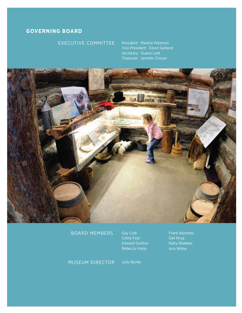#### **GOVERNING BOARD**

#### EXECUTIVE COMMITTEE

President: Marsha Peterson Vice President: David Garland Secretary: Duane Leet Treasurer: Jennifer Crouse



#### BOARD MEMBERS

Gay Cole Cathy Feyt Edward Grafton Rebecca Hopp

Frank Kennedy Gail Krug Patty Redeker Ann White

MUSEUM DIRECTOR Julie Bunke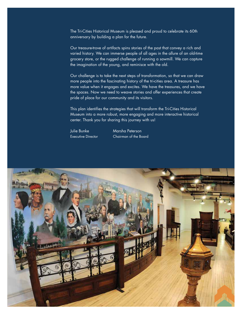The Tri-Cities Historical Museum is pleased and proud to celebrate its 60th anniversary by building a plan for the future.

Our treasure-trove of artifacts spins stories of the past that convey a rich and varied history. We can immerse people of all ages in the allure of an old-time grocery store, or the rugged challenge of running a sawmill. We can capture the imagination of the young, and reminisce with the old.

Our challenge is to take the next steps of transformation, so that we can draw more people into the fascinating history of the tri-cities area. A treasure has more value when it engages and excites. We have the treasures, and we have the spaces. Now we need to weave stories and offer experiences that create pride of place for our community and its visitors.

This plan identifies the strategies that will transform the Tri-Cities Historical Museum into a more robust, more engaging and more interactive historical center. Thank you for sharing this journey with us!

Julie Bunke Marsha Peterson Executive Director Chairman of the Board